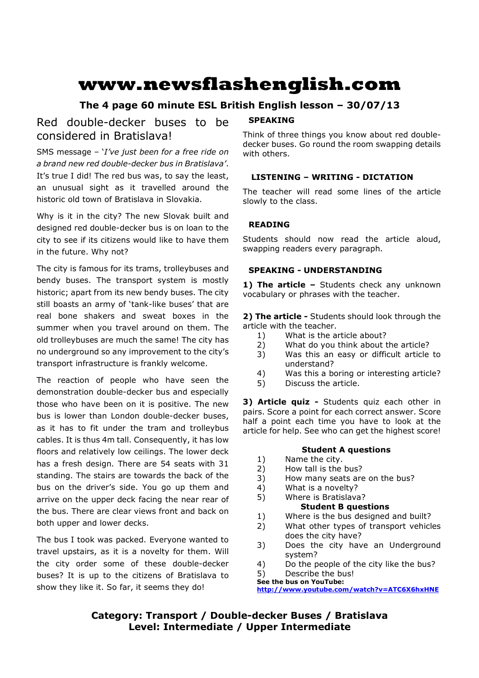# **www.newsflashenglish.com**

# **The 4 page 60 minute ESL British English lesson – 30/07/13**

# Red double-decker buses to be considered in Bratislava!

SMS message – '*I've just been for a free ride on a brand new red double-decker bus in Bratislava'*. It's true I did! The red bus was, to say the least, an unusual sight as it travelled around the historic old town of Bratislava in Slovakia.

Why is it in the city? The new Slovak built and designed red double-decker bus is on loan to the city to see if its citizens would like to have them in the future. Why not?

The city is famous for its trams, trolleybuses and bendy buses. The transport system is mostly historic; apart from its new bendy buses. The city still boasts an army of 'tank-like buses' that are real bone shakers and sweat boxes in the summer when you travel around on them. The old trolleybuses are much the same! The city has no underground so any improvement to the city's transport infrastructure is frankly welcome.

The reaction of people who have seen the demonstration double-decker bus and especially those who have been on it is positive. The new bus is lower than London double-decker buses, as it has to fit under the tram and trolleybus cables. It is thus 4m tall. Consequently, it has low floors and relatively low ceilings. The lower deck has a fresh design. There are 54 seats with 31 standing. The stairs are towards the back of the bus on the driver's side. You go up them and arrive on the upper deck facing the near rear of the bus. There are clear views front and back on both upper and lower decks.

The bus I took was packed. Everyone wanted to travel upstairs, as it is a novelty for them. Will the city order some of these double-decker buses? It is up to the citizens of Bratislava to show they like it. So far, it seems they do!

#### **SPEAKING**

Think of three things you know about red doubledecker buses. Go round the room swapping details with others.

# **LISTENING – WRITING - DICTATION**

The teacher will read some lines of the article slowly to the class.

### **READING**

Students should now read the article aloud, swapping readers every paragraph.

#### **SPEAKING - UNDERSTANDING**

1) The article - Students check any unknown vocabulary or phrases with the teacher.

**2) The article -** Students should look through the article with the teacher.

- 1) What is the article about?
- 2) What do you think about the article?
- 3) Was this an easy or difficult article to understand?
- 4) Was this a boring or interesting article?
- 5) Discuss the article.

**3) Article quiz -** Students quiz each other in pairs. Score a point for each correct answer. Score half a point each time you have to look at the article for help. See who can get the highest score!

#### **Student A questions**

- 1) Name the city.
- 2) How tall is the bus?
- 3) How many seats are on the bus?
- 4) What is a novelty?
- 5) Where is Bratislava? **Student B questions**

# 1) Where is the bus designed and built?

- 2) What other types of transport vehicles does the city have?
- 3) Does the city have an Underground system?
- 4) Do the people of the city like the bus?
- 5) Describe the bus!
- **See the bus on YouTube:**

**http://www.youtube.com/watch?v=ATC6X6hxHNE**

**Category: Transport / Double-decker Buses / Bratislava Level: Intermediate / Upper Intermediate**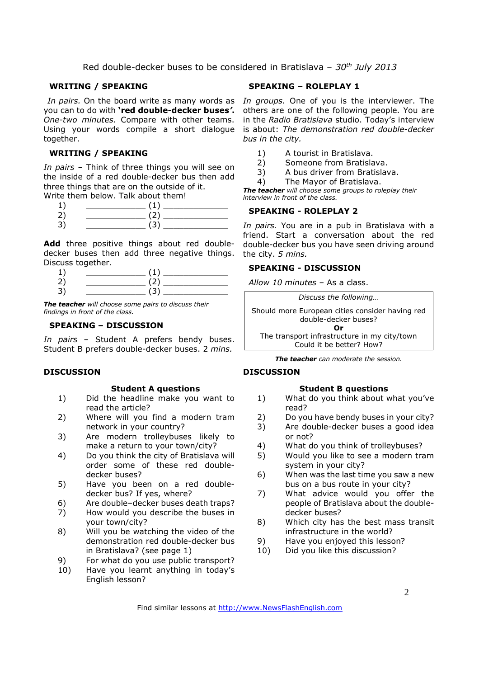#### **WRITING / SPEAKING**

you can to do with **'red double-decker buses***'***.** *One-two minutes.* Compare with other teams. together.

#### **WRITING / SPEAKING**

*In pairs* – Think of three things you will see on the inside of a red double-decker bus then add three things that are on the outside of it.

Write them below. Talk about them!

| سه |  |
|----|--|

**Add** three positive things about red doubledecker buses then add three negative things. Discuss together.

*The teacher will choose some pairs to discuss their findings in front of the class.* 

#### **SPEAKING – DISCUSSION**

*In pairs* – Student A prefers bendy buses. Student B prefers double-decker buses. 2 *mins.*

### **DISCUSSION**

#### **Student A questions**

- 1) Did the headline make you want to read the article?
- 2) Where will you find a modern tram network in your country?
- 3) Are modern trolleybuses likely to make a return to your town/city?
- 4) Do you think the city of Bratislava will order some of these red doubledecker buses?
- 5) Have you been on a red doubledecker bus? If yes, where?
- 6) Are double–decker buses death traps?
- 7) How would you describe the buses in your town/city?
- 8) Will you be watching the video of the demonstration red double-decker bus in Bratislava? (see page 1)
- 9) For what do you use public transport?
- 10) Have you learnt anything in today's English lesson?

#### **SPEAKING – ROLEPLAY 1**

In pairs. On the board write as many words as In groups. One of you is the interviewer. The Using your words compile a short dialogue is about: *The demonstration red double-decker*  others are one of the following people. You are in the *Radio Bratislava* studio. Today's interview *bus in the city.* 

- 1) A tourist in Bratislava.
- 2) Someone from Bratislava.
- 3) A bus driver from Bratislava.
- 4) The Mayor of Bratislava.

*The teacher will choose some groups to roleplay their interview in front of the class.* 

#### **SPEAKING - ROLEPLAY 2**

*In pairs.* You are in a pub in Bratislava with a friend. Start a conversation about the red double-decker bus you have seen driving around the city. *5 mins.* 

#### **SPEAKING - DISCUSSION**

*Allow 10 minutes* – As a class.

*Discuss the following…*  Should more European cities consider having red double-decker buses? **Or**  The transport infrastructure in my city/town Could it be better? How?

*The teacher can moderate the session.*

#### **DISCUSSION**

#### **Student B questions**

- 1) What do you think about what you've read?
- 2) Do you have bendy buses in your city?
- 3) Are double-decker buses a good idea or not?
- 4) What do you think of trolleybuses?
- 5) Would you like to see a modern tram system in your city?
- 6) When was the last time you saw a new bus on a bus route in your city?
- 7) What advice would you offer the people of Bratislava about the doubledecker buses?
- 8) Which city has the best mass transit infrastructure in the world?
- 9) Have you enjoyed this lesson?
- 10) Did you like this discussion?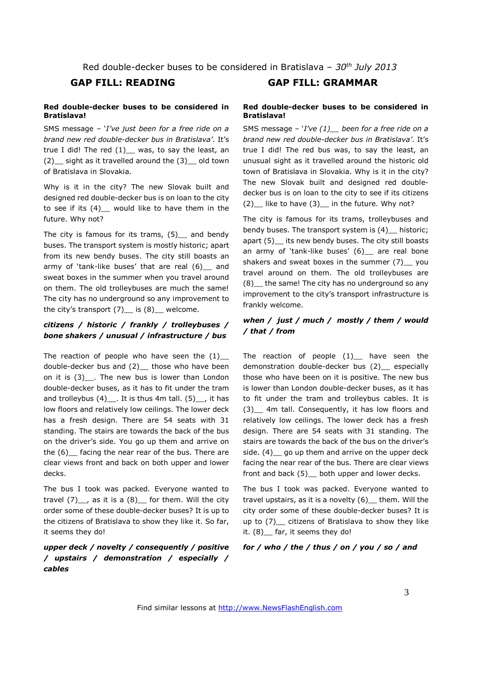#### **Red double-decker buses to be considered in Bratislava!**

SMS message – '*I've just been for a free ride on a brand new red double-decker bus in Bratislava'*. It's true I did! The red  $(1)$  was, to say the least, an (2)\_\_ sight as it travelled around the (3)\_\_ old town of Bratislava in Slovakia.

Why is it in the city? The new Slovak built and designed red double-decker bus is on loan to the city to see if its (4) would like to have them in the future. Why not?

The city is famous for its trams,  $(5)$  and bendy buses. The transport system is mostly historic; apart from its new bendy buses. The city still boasts an army of 'tank-like buses' that are real (6) and sweat boxes in the summer when you travel around on them. The old trolleybuses are much the same! The city has no underground so any improvement to the city's transport  $(7)$  is  $(8)$  welcome.

#### *citizens / historic / frankly / trolleybuses / bone shakers / unusual / infrastructure / bus*

The reaction of people who have seen the  $(1)$ double-decker bus and (2)\_ those who have been on it is (3) . The new bus is lower than London double-decker buses, as it has to fit under the tram and trolleybus  $(4)$  . It is thus 4m tall.  $(5)$ , it has low floors and relatively low ceilings. The lower deck has a fresh design. There are 54 seats with 31 standing. The stairs are towards the back of the bus on the driver's side. You go up them and arrive on the (6)\_\_ facing the near rear of the bus. There are clear views front and back on both upper and lower decks.

The bus I took was packed. Everyone wanted to travel  $(7)$ <sub>,</sub> as it is a  $(8)$  for them. Will the city order some of these double-decker buses? It is up to the citizens of Bratislava to show they like it. So far, it seems they do!

### *upper deck / novelty / consequently / positive / upstairs / demonstration / especially / cables*

# **GAP FILL: READING GAP FILL: GRAMMAR**

#### **Red double-decker buses to be considered in Bratislava!**

SMS message – '*I've (1)\_\_ been for a free ride on a brand new red double-decker bus in Bratislava'*. It's true I did! The red bus was, to say the least, an unusual sight as it travelled around the historic old town of Bratislava in Slovakia. Why is it in the city? The new Slovak built and designed red doubledecker bus is on loan to the city to see if its citizens  $(2)$  like to have  $(3)$  in the future. Why not?

The city is famous for its trams, trolleybuses and bendy buses. The transport system is  $(4)$  historic; apart (5) its new bendy buses. The city still boasts an army of 'tank-like buses' (6) are real bone shakers and sweat boxes in the summer (7) you travel around on them. The old trolleybuses are (8)\_\_ the same! The city has no underground so any improvement to the city's transport infrastructure is frankly welcome.

#### *when / just / much / mostly / them / would / that / from*

The reaction of people  $(1)$  have seen the demonstration double-decker bus (2)\_ especially those who have been on it is positive. The new bus is lower than London double-decker buses, as it has to fit under the tram and trolleybus cables. It is (3)\_\_ 4m tall. Consequently, it has low floors and relatively low ceilings. The lower deck has a fresh design. There are 54 seats with 31 standing. The stairs are towards the back of the bus on the driver's side. (4) go up them and arrive on the upper deck facing the near rear of the bus. There are clear views front and back (5) both upper and lower decks.

The bus I took was packed. Everyone wanted to travel upstairs, as it is a novelty (6)\_\_ them. Will the city order some of these double-decker buses? It is up to (7)\_\_ citizens of Bratislava to show they like it. (8) far, it seems they do!

*for / who / the / thus / on / you / so / and*